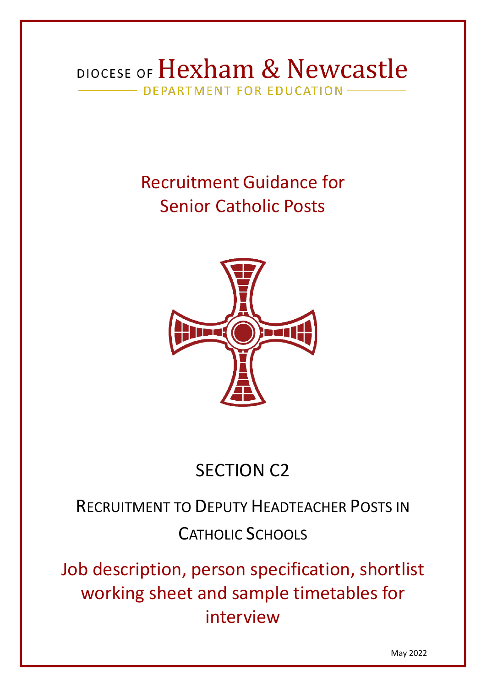## DIOCESE OF Hexham & Newcastle DEPARTMENT FOR EDUCATION

# Recruitment Guidance for Senior Catholic Posts



# SECTION C2

# RECRUITMENT TO DEPUTY HEADTEACHER POSTS IN CATHOLIC SCHOOLS

Job description, person specification, shortlist working sheet and sample timetables for interview

May 2022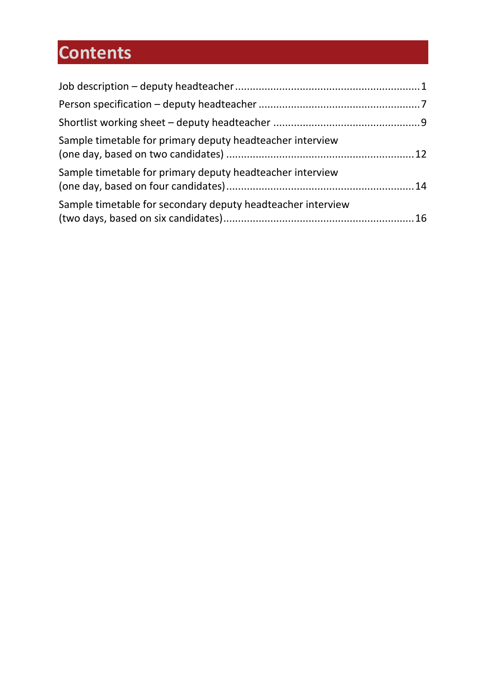# **Contents**

| Sample timetable for primary deputy headteacher interview   |  |
|-------------------------------------------------------------|--|
| Sample timetable for primary deputy headteacher interview   |  |
| Sample timetable for secondary deputy headteacher interview |  |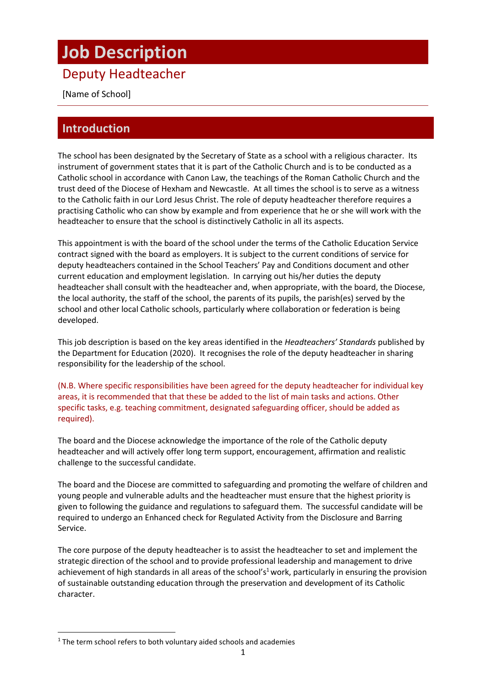## <span id="page-2-0"></span>**Job Description**

## Deputy Headteacher

[Name of School]

## **Introduction**

The school has been designated by the Secretary of State as a school with a religious character. Its instrument of government states that it is part of the Catholic Church and is to be conducted as a Catholic school in accordance with Canon Law, the teachings of the Roman Catholic Church and the trust deed of the Diocese of Hexham and Newcastle. At all times the school is to serve as a witness to the Catholic faith in our Lord Jesus Christ. The role of deputy headteacher therefore requires a practising Catholic who can show by example and from experience that he or she will work with the headteacher to ensure that the school is distinctively Catholic in all its aspects.

This appointment is with the board of the school under the terms of the Catholic Education Service contract signed with the board as employers. It is subject to the current conditions of service for deputy headteachers contained in the School Teachers' Pay and Conditions document and other current education and employment legislation. In carrying out his/her duties the deputy headteacher shall consult with the headteacher and, when appropriate, with the board, the Diocese, the local authority, the staff of the school, the parents of its pupils, the parish(es) served by the school and other local Catholic schools, particularly where collaboration or federation is being developed.

This job description is based on the key areas identified in the *Headteachers' Standards* published by the Department for Education (2020). It recognises the role of the deputy headteacher in sharing responsibility for the leadership of the school.

(N.B. Where specific responsibilities have been agreed for the deputy headteacher for individual key areas, it is recommended that that these be added to the list of main tasks and actions. Other specific tasks, e.g. teaching commitment, designated safeguarding officer, should be added as required).

The board and the Diocese acknowledge the importance of the role of the Catholic deputy headteacher and will actively offer long term support, encouragement, affirmation and realistic challenge to the successful candidate.

The board and the Diocese are committed to safeguarding and promoting the welfare of children and young people and vulnerable adults and the headteacher must ensure that the highest priority is given to following the guidance and regulations to safeguard them. The successful candidate will be required to undergo an Enhanced check for Regulated Activity from the Disclosure and Barring Service.

The core purpose of the deputy headteacher is to assist the headteacher to set and implement the strategic direction of the school and to provide professional leadership and management to drive achievement of high standards in all areas of the school's<sup>1</sup> work, particularly in ensuring the provision of sustainable outstanding education through the preservation and development of its Catholic character.

<sup>&</sup>lt;sup>1</sup> The term school refers to both voluntary aided schools and academies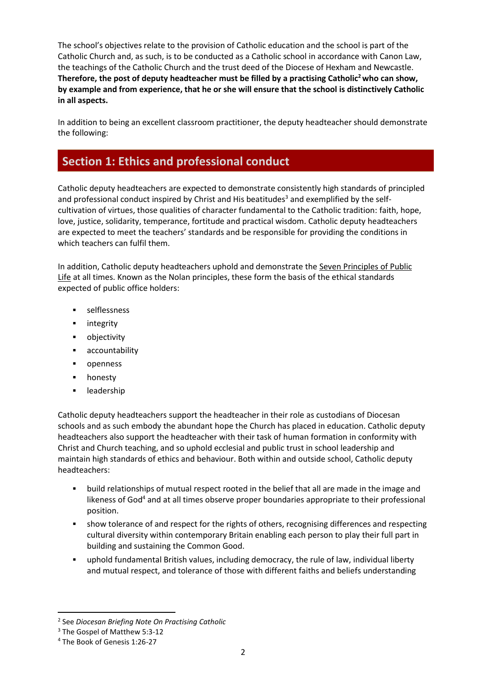The school's objectives relate to the provision of Catholic education and the school is part of the Catholic Church and, as such, is to be conducted as a Catholic school in accordance with Canon Law, the teachings of the Catholic Church and the trust deed of the Diocese of Hexham and Newcastle. **Therefore, the post of deputy headteacher must be filled by a practising Catholic<sup>2</sup>who can show, by example and from experience, that he or she will ensure that the school is distinctively Catholic in all aspects.**

In addition to being an excellent classroom practitioner, the deputy headteacher should demonstrate the following:

## **Section 1: Ethics and professional conduct**

Catholic deputy headteachers are expected to demonstrate consistently high standards of principled and professional conduct inspired by Christ and His beatitudes<sup>3</sup> and exemplified by the selfcultivation of virtues, those qualities of character fundamental to the Catholic tradition: faith, hope, love, justice, solidarity, temperance, fortitude and practical wisdom. Catholic deputy headteachers are expected to meet the teachers' standards and be responsible for providing the conditions in which teachers can fulfil them.

In addition, Catholic deputy headteachers uphold and demonstrate the Seven [Principles](https://www.gov.uk/government/publications/the-7-principles-of-public-life) of Public [Life](https://www.gov.uk/government/publications/the-7-principles-of-public-life) at all times. Known as the Nolan principles, these form the basis of the ethical standards expected of public office holders:

- selflessness
- integrity
- objectivity
- accountability
- openness
- honesty
- leadership

Catholic deputy headteachers support the headteacher in their role as custodians of Diocesan schools and as such embody the abundant hope the Church has placed in education. Catholic deputy headteachers also support the headteacher with their task of human formation in conformity with Christ and Church teaching, and so uphold ecclesial and public trust in school leadership and maintain high standards of ethics and behaviour. Both within and outside school, Catholic deputy headteachers:

- build relationships of mutual respect rooted in the belief that all are made in the image and likeness of God<sup>4</sup> and at all times observe proper boundaries appropriate to their professional position.
- **•** show tolerance of and respect for the rights of others, recognising differences and respecting cultural diversity within contemporary Britain enabling each person to play their full part in building and sustaining the Common Good.
- uphold fundamental British values, including democracy, the rule of law, individual liberty and mutual respect, and tolerance of those with different faiths and beliefs understanding

<sup>2</sup> See *Diocesan Briefing Note On Practising Catholic*

<sup>3</sup> The Gospel of Matthew 5:3-12

<sup>4</sup> The Book of Genesis 1:26-27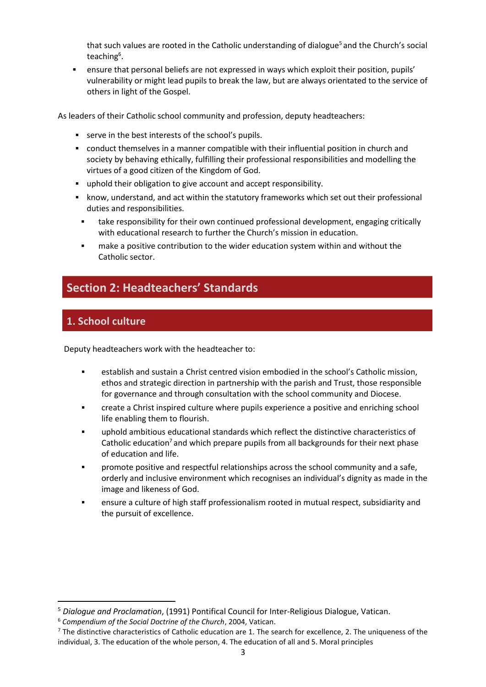that such values are rooted in the Catholic understanding of dialogue<sup>5</sup> and the Church's social teaching<sup>6</sup>.

**•** ensure that personal beliefs are not expressed in ways which exploit their position, pupils' vulnerability or might lead pupils to break the law, but are always orientated to the service of others in light of the Gospel.

As leaders of their Catholic school community and profession, deputy headteachers:

- serve in the best interests of the school's pupils.
- conduct themselves in a manner compatible with their influential position in church and society by behaving ethically, fulfilling their professional responsibilities and modelling the virtues of a good citizen of the Kingdom of God.
- uphold their obligation to give account and accept responsibility.
- know, understand, and act within the statutory frameworks which set out their professional duties and responsibilities.
	- take responsibility for their own continued professional development, engaging critically with educational research to further the Church's mission in education.
	- make a positive contribution to the wider education system within and without the Catholic sector.

### **Section 2: Headteachers' Standards**

### **1. School culture**

Deputy headteachers work with the headteacher to:

- establish and sustain a Christ centred vision embodied in the school's Catholic mission, ethos and strategic direction in partnership with the parish and Trust, those responsible for governance and through consultation with the school community and Diocese.
- create a Christ inspired culture where pupils experience a positive and enriching school life enabling them to flourish.
- uphold ambitious educational standards which reflect the distinctive characteristics of Catholic education<sup>7</sup> and which prepare pupils from all backgrounds for their next phase of education and life.
- promote positive and respectful relationships across the school community and a safe. orderly and inclusive environment which recognises an individual's dignity as made in the image and likeness of God.
- ensure a culture of high staff professionalism rooted in mutual respect, subsidiarity and the pursuit of excellence.

<sup>5</sup> *Dialogue and Proclamation*, (1991) Pontifical Council for Inter-Religious Dialogue, Vatican.

<sup>6</sup> *Compendium of the Social Doctrine of the Church*, 2004, Vatican.

 $<sup>7</sup>$  The distinctive characteristics of Catholic education are 1. The search for excellence, 2. The uniqueness of the</sup> individual, 3. The education of the whole person, 4. The education of all and 5. Moral principles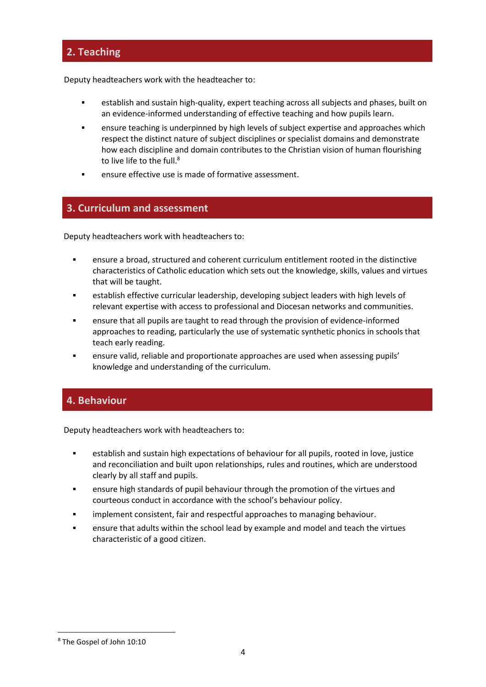### **2. Teaching**

Deputy headteachers work with the headteacher to:

- establish and sustain high-quality, expert teaching across all subjects and phases, built on an evidence-informed understanding of effective teaching and how pupils learn.
- ensure teaching is underpinned by high levels of subject expertise and approaches which respect the distinct nature of subject disciplines or specialist domains and demonstrate how each discipline and domain contributes to the Christian vision of human flourishing to live life to the full.<sup>8</sup>
- ensure effective use is made of formative assessment.

### **3. Curriculum and assessment**

Deputy headteachers work with headteachers to:

- ensure a broad, structured and coherent curriculum entitlement rooted in the distinctive characteristics of Catholic education which sets out the knowledge, skills, values and virtues that will be taught.
- establish effective curricular leadership, developing subject leaders with high levels of relevant expertise with access to professional and Diocesan networks and communities.
- ensure that all pupils are taught to read through the provision of evidence-informed approaches to reading, particularly the use of systematic synthetic phonics in schools that teach early reading.
- ensure valid, reliable and proportionate approaches are used when assessing pupils' knowledge and understanding of the curriculum.

### **4. Behaviour**

Deputy headteachers work with headteachers to:

- establish and sustain high expectations of behaviour for all pupils, rooted in love, justice and reconciliation and built upon relationships, rules and routines, which are understood clearly by all staff and pupils.
- ensure high standards of pupil behaviour through the promotion of the virtues and courteous conduct in accordance with the school's behaviour policy.
- **•** implement consistent, fair and respectful approaches to managing behaviour.
- **EXECT** ensure that adults within the school lead by example and model and teach the virtues characteristic of a good citizen.

<sup>8</sup> The Gospel of John 10:10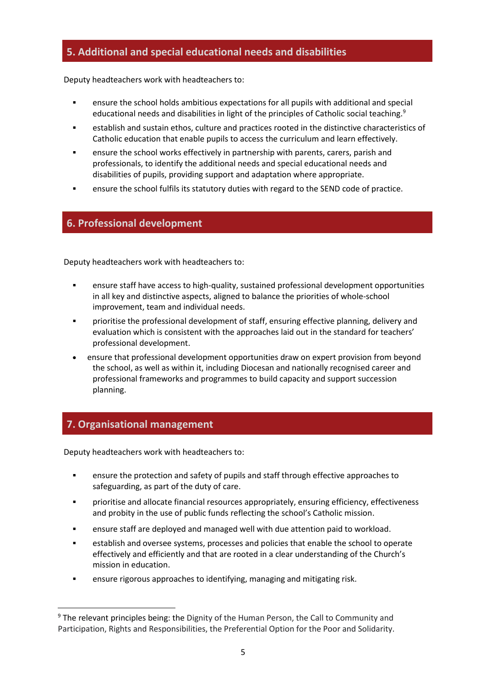### **5. Additional and special educational needs and disabilities**

Deputy headteachers work with headteachers to:

- ensure the school holds ambitious expectations for all pupils with additional and special educational needs and disabilities in light of the principles of Catholic social teaching.<sup>9</sup>
- establish and sustain ethos, culture and practices rooted in the distinctive characteristics of Catholic education that enable pupils to access the curriculum and learn effectively.
- **•** ensure the school works effectively in partnership with parents, carers, parish and professionals, to identify the additional needs and special educational needs and disabilities of pupils, providing support and adaptation where appropriate.
- ensure the school fulfils its statutory duties with regard to the SEND code of practice.

### **6. Professional development**

Deputy headteachers work with headteachers to:

- **•** ensure staff have access to high-quality, sustained professional development opportunities in all key and distinctive aspects, aligned to balance the priorities of whole-school improvement, team and individual needs.
- prioritise the professional development of staff, ensuring effective planning, delivery and evaluation which is consistent with the approaches laid out in the standard for teachers' professional development.
- ensure that professional development opportunities draw on expert provision from beyond the school, as well as within it, including Diocesan and nationally recognised career and professional frameworks and programmes to build capacity and support succession planning.

### **7. Organisational management**

Deputy headteachers work with headteachers to:

- ensure the protection and safety of pupils and staff through effective approaches to safeguarding, as part of the duty of care.
- prioritise and allocate financial resources appropriately, ensuring efficiency, effectiveness and probity in the use of public funds reflecting the school's Catholic mission.
- ensure staff are deployed and managed well with due attention paid to workload.
- establish and oversee systems, processes and policies that enable the school to operate effectively and efficiently and that are rooted in a clear understanding of the Church's mission in education.
- ensure rigorous approaches to identifying, managing and mitigating risk.

<sup>&</sup>lt;sup>9</sup> The relevant principles being: the Dignity of the Human Person, the Call to Community and Participation, Rights and Responsibilities, the Preferential Option for the Poor and Solidarity.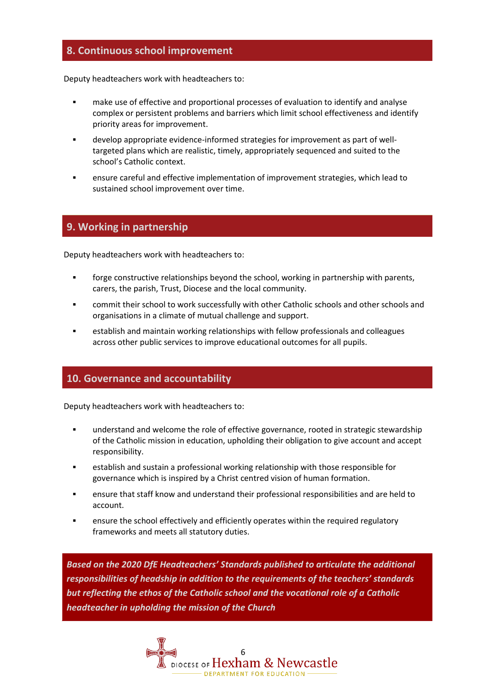### **8. Continuous school improvement**

Deputy headteachers work with headteachers to:

- make use of effective and proportional processes of evaluation to identify and analyse complex or persistent problems and barriers which limit school effectiveness and identify priority areas for improvement.
- develop appropriate evidence-informed strategies for improvement as part of welltargeted plans which are realistic, timely, appropriately sequenced and suited to the school's Catholic context.
- ensure careful and effective implementation of improvement strategies, which lead to sustained school improvement over time.

### **9. Working in partnership**

Deputy headteachers work with headteachers to:

- **•** forge constructive relationships beyond the school, working in partnership with parents, carers, the parish, Trust, Diocese and the local community.
- commit their school to work successfully with other Catholic schools and other schools and organisations in a climate of mutual challenge and support.
- establish and maintain working relationships with fellow professionals and colleagues across other public services to improve educational outcomes for all pupils.

### **10. Governance and accountability**

Deputy headteachers work with headteachers to:

- understand and welcome the role of effective governance, rooted in strategic stewardship of the Catholic mission in education, upholding their obligation to give account and accept responsibility.
- establish and sustain a professional working relationship with those responsible for governance which is inspired by a Christ centred vision of human formation.
- ensure that staff know and understand their professional responsibilities and are held to account.
- ensure the school effectively and efficiently operates within the required regulatory frameworks and meets all statutory duties.

*Based on the 2020 DfE Headteachers' Standards published to articulate the additional responsibilities of headship in addition to the requirements of the teachers' standards but reflecting the ethos of the Catholic school and the vocational role of a Catholic headteacher in upholding the mission of the Church*

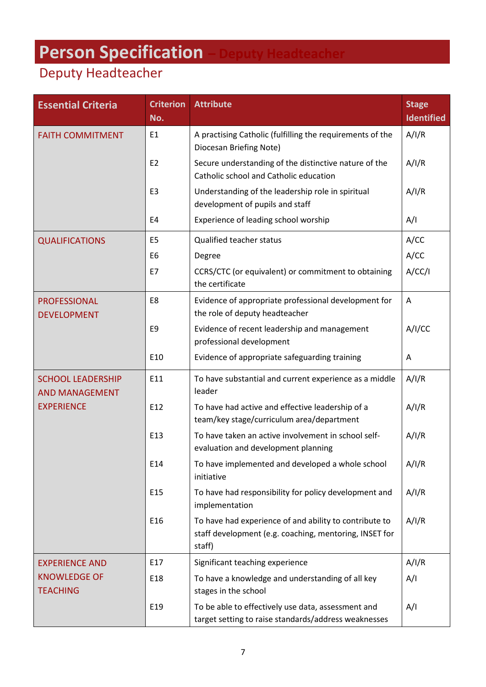# <span id="page-8-0"></span>**Person Specification – Deputy Headteacher**

## Deputy Headteacher

| <b>Essential Criteria</b>                         | <b>Criterion</b><br>No. | <b>Attribute</b>                                                                                                           | <b>Stage</b><br><b>Identified</b> |
|---------------------------------------------------|-------------------------|----------------------------------------------------------------------------------------------------------------------------|-----------------------------------|
| <b>FAITH COMMITMENT</b>                           | E <sub>1</sub>          | A practising Catholic (fulfilling the requirements of the<br>Diocesan Briefing Note)                                       | A/I/R                             |
|                                                   | E <sub>2</sub>          | Secure understanding of the distinctive nature of the<br>Catholic school and Catholic education                            | A/I/R                             |
|                                                   | E <sub>3</sub>          | Understanding of the leadership role in spiritual<br>development of pupils and staff                                       | A/I/R                             |
|                                                   | E4                      | Experience of leading school worship                                                                                       | A/I                               |
| <b>QUALIFICATIONS</b>                             | E <sub>5</sub>          | Qualified teacher status                                                                                                   | A/CC                              |
|                                                   | E <sub>6</sub>          | Degree                                                                                                                     | A/CC                              |
|                                                   | E7                      | CCRS/CTC (or equivalent) or commitment to obtaining<br>the certificate                                                     | A/CC/1                            |
| <b>PROFESSIONAL</b><br><b>DEVELOPMENT</b>         | E8                      | Evidence of appropriate professional development for<br>the role of deputy headteacher                                     | Α                                 |
|                                                   | E9                      | Evidence of recent leadership and management<br>professional development                                                   | A/I/CC                            |
|                                                   | E10                     | Evidence of appropriate safeguarding training                                                                              | A                                 |
| <b>SCHOOL LEADERSHIP</b><br><b>AND MANAGEMENT</b> | E11                     | To have substantial and current experience as a middle<br>leader                                                           | A/I/R                             |
| <b>EXPERIENCE</b>                                 | E12                     | To have had active and effective leadership of a<br>team/key stage/curriculum area/department                              | A/I/R                             |
|                                                   | E13                     | To have taken an active involvement in school self-<br>evaluation and development planning                                 | A/I/R                             |
|                                                   | E14                     | To have implemented and developed a whole school<br>initiative                                                             | A/I/R                             |
|                                                   | E15                     | To have had responsibility for policy development and<br>implementation                                                    | A/I/R                             |
|                                                   | E16                     | To have had experience of and ability to contribute to<br>staff development (e.g. coaching, mentoring, INSET for<br>staff) | A/I/R                             |
| <b>EXPERIENCE AND</b>                             | E17                     | Significant teaching experience                                                                                            | A/I/R                             |
| <b>KNOWLEDGE OF</b><br><b>TEACHING</b>            | E18                     | To have a knowledge and understanding of all key<br>stages in the school                                                   | A/I                               |
|                                                   | E19                     | To be able to effectively use data, assessment and<br>target setting to raise standards/address weaknesses                 | A/I                               |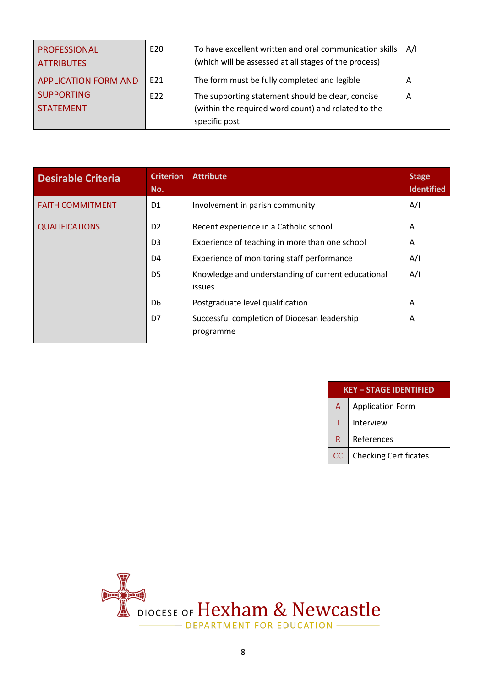| <b>PROFESSIONAL</b><br><b>ATTRIBUTES</b> | E20 | To have excellent written and oral communication skills<br>(which will be assessed at all stages of the process)          | A/I |
|------------------------------------------|-----|---------------------------------------------------------------------------------------------------------------------------|-----|
| <b>APPLICATION FORM AND</b>              | E21 | The form must be fully completed and legible                                                                              | A   |
| <b>SUPPORTING</b><br><b>STATEMENT</b>    | E22 | The supporting statement should be clear, concise<br>(within the required word count) and related to the<br>specific post | A   |

| <b>Desirable Criteria</b> | <b>Criterion</b><br>No. | <b>Attribute</b>                                                    | <b>Stage</b><br><b>Identified</b> |
|---------------------------|-------------------------|---------------------------------------------------------------------|-----------------------------------|
| <b>FAITH COMMITMENT</b>   | D <sub>1</sub>          | Involvement in parish community                                     | A/I                               |
| <b>QUALIFICATIONS</b>     | D <sub>2</sub>          | Recent experience in a Catholic school                              | A                                 |
|                           | D <sub>3</sub>          | Experience of teaching in more than one school                      | A                                 |
|                           | D4                      | Experience of monitoring staff performance                          | A/I                               |
|                           | D <sub>5</sub>          | Knowledge and understanding of current educational<br><b>issues</b> | A/I                               |
|                           | D6                      | Postgraduate level qualification                                    | A                                 |
|                           | D7                      | Successful completion of Diocesan leadership<br>programme           | A                                 |

| <b>KEY - STAGE IDENTIFIED</b> |                              |  |  |
|-------------------------------|------------------------------|--|--|
| A                             | <b>Application Form</b>      |  |  |
|                               | Interview                    |  |  |
| R                             | References                   |  |  |
| CC                            | <b>Checking Certificates</b> |  |  |

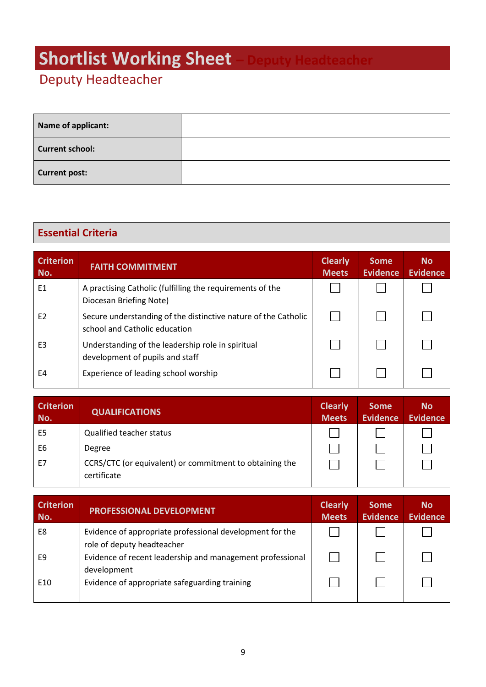# <span id="page-10-0"></span>**Shortlist Working Sheet**

## Deputy Headteacher

| Name of applicant:     |  |
|------------------------|--|
| <b>Current school:</b> |  |
| <b>Current post:</b>   |  |

## **Essential Criteria**

| <b>Criterion</b><br>No. | <b>FAITH COMMITMENT</b>                                                                         | <b>Clearly</b><br><b>Meets</b> | <b>Some</b><br><b>Evidence</b> | <b>No</b><br><b>Evidence</b> |
|-------------------------|-------------------------------------------------------------------------------------------------|--------------------------------|--------------------------------|------------------------------|
| E1                      | A practising Catholic (fulfilling the requirements of the<br>Diocesan Briefing Note)            |                                |                                |                              |
| E <sub>2</sub>          | Secure understanding of the distinctive nature of the Catholic<br>school and Catholic education |                                |                                |                              |
| E <sub>3</sub>          | Understanding of the leadership role in spiritual<br>development of pupils and staff            |                                |                                |                              |
| E4                      | Experience of leading school worship                                                            |                                |                                |                              |

| <b>Criterion</b><br>No. | <b>QUALIFICATIONS</b>                                                  | <b>Clearly</b><br><b>Meets</b> | <b>Some</b><br><b>Evidence</b> | <b>No</b><br>Evidence |
|-------------------------|------------------------------------------------------------------------|--------------------------------|--------------------------------|-----------------------|
| E <sub>5</sub>          | <b>Qualified teacher status</b>                                        |                                |                                |                       |
| E <sub>6</sub>          | Degree                                                                 |                                |                                |                       |
| E7                      | CCRS/CTC (or equivalent) or commitment to obtaining the<br>certificate |                                |                                |                       |

| <b>Criterion</b><br>No. | <b>PROFESSIONAL DEVELOPMENT</b>                                                        | <b>Clearly</b><br><b>Meets</b> | <b>Some</b><br><b>Evidence</b> | <b>No</b><br><b>Evidence</b> |
|-------------------------|----------------------------------------------------------------------------------------|--------------------------------|--------------------------------|------------------------------|
| E8                      | Evidence of appropriate professional development for the<br>role of deputy headteacher |                                |                                |                              |
| F9                      | Evidence of recent leadership and management professional<br>development               |                                |                                |                              |
| E <sub>10</sub>         | Evidence of appropriate safeguarding training                                          |                                |                                |                              |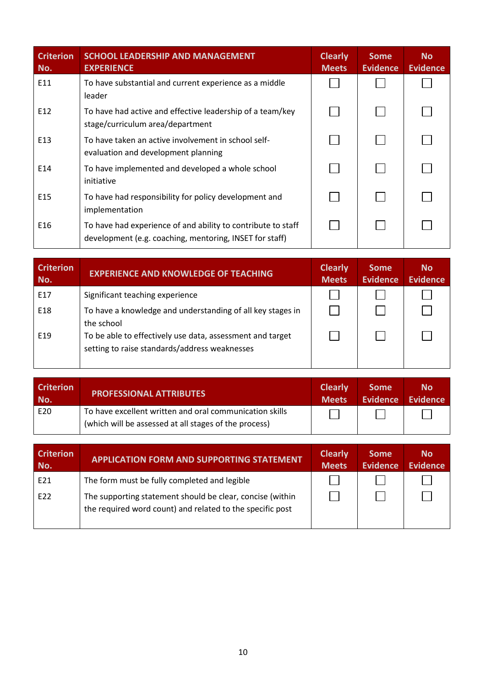| <b>Criterion</b><br>No. | <b>SCHOOL LEADERSHIP AND MANAGEMENT</b><br><b>EXPERIENCE</b>                                                            | <b>Clearly</b><br><b>Meets</b> | <b>Some</b><br><b>Evidence</b> | <b>No</b><br><b>Evidence</b> |
|-------------------------|-------------------------------------------------------------------------------------------------------------------------|--------------------------------|--------------------------------|------------------------------|
| E11                     | To have substantial and current experience as a middle<br>leader                                                        |                                |                                |                              |
| E12                     | To have had active and effective leadership of a team/key<br>stage/curriculum area/department                           |                                |                                |                              |
| E <sub>13</sub>         | To have taken an active involvement in school self-<br>evaluation and development planning                              |                                |                                |                              |
| E14                     | To have implemented and developed a whole school<br>initiative                                                          |                                |                                |                              |
| E <sub>15</sub>         | To have had responsibility for policy development and<br>implementation                                                 |                                |                                |                              |
| E16                     | To have had experience of and ability to contribute to staff<br>development (e.g. coaching, mentoring, INSET for staff) |                                |                                |                              |

| <b>Criterion</b><br>No. | <b>EXPERIENCE AND KNOWLEDGE OF TEACHING</b>                                                                | <b>Clearly</b><br><b>Meets</b> | <b>Some</b><br><b>Evidence</b> | <b>No</b><br><b>Evidence</b> |
|-------------------------|------------------------------------------------------------------------------------------------------------|--------------------------------|--------------------------------|------------------------------|
| E17                     | Significant teaching experience                                                                            |                                |                                |                              |
| E18                     | To have a knowledge and understanding of all key stages in<br>the school                                   |                                |                                |                              |
| E <sub>19</sub>         | To be able to effectively use data, assessment and target<br>setting to raise standards/address weaknesses |                                |                                |                              |

| <b>Criterion</b><br>No. | <b>PROFESSIONAL ATTRIBUTES</b>                          | <b>Clearly</b><br><b>Meets</b> | <b>Some</b><br>Evidence | <b>No</b><br>Evidence |
|-------------------------|---------------------------------------------------------|--------------------------------|-------------------------|-----------------------|
| E20                     | To have excellent written and oral communication skills |                                |                         |                       |
|                         | (which will be assessed at all stages of the process)   |                                |                         |                       |

| <b>Criterion</b><br>No. | <b>APPLICATION FORM AND SUPPORTING STATEMENT</b>                                                                       | <b>Clearly</b><br><b>Meets</b> | <b>Some</b><br><b>Evidence</b> | <b>No</b><br><b>Evidence</b> |
|-------------------------|------------------------------------------------------------------------------------------------------------------------|--------------------------------|--------------------------------|------------------------------|
| E21                     | The form must be fully completed and legible                                                                           |                                |                                |                              |
| E22                     | The supporting statement should be clear, concise (within<br>the required word count) and related to the specific post |                                |                                |                              |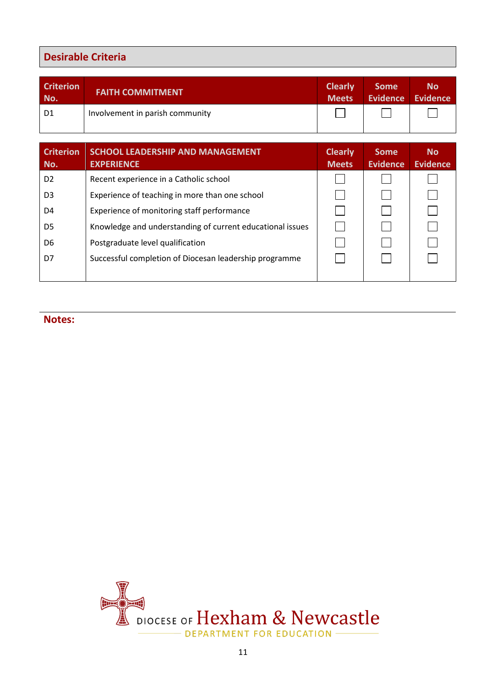### **Desirable Criteria**

| <b>Criterion</b><br>No. | <b>FAITH COMMITMENT</b>         | <b>Clearly</b><br><b>Meets</b> | <b>Some</b> | <b>No</b><br>Evidence Evidence |
|-------------------------|---------------------------------|--------------------------------|-------------|--------------------------------|
| D <sub>1</sub>          | Involvement in parish community |                                |             |                                |

| <b>Criterion</b><br>No. | <b>SCHOOL LEADERSHIP AND MANAGEMENT</b><br><b>EXPERIENCE</b> | <b>Clearly</b><br><b>Meets</b> | <b>Some</b><br><b>Evidence</b> | <b>No</b><br><b>Evidence</b> |
|-------------------------|--------------------------------------------------------------|--------------------------------|--------------------------------|------------------------------|
| D <sub>2</sub>          | Recent experience in a Catholic school                       |                                |                                |                              |
| D <sub>3</sub>          | Experience of teaching in more than one school               |                                |                                |                              |
| D4                      | Experience of monitoring staff performance                   |                                |                                |                              |
| D <sub>5</sub>          | Knowledge and understanding of current educational issues    |                                |                                |                              |
| D6                      | Postgraduate level qualification                             |                                |                                |                              |
| D7                      | Successful completion of Diocesan leadership programme       |                                |                                |                              |
|                         |                                                              |                                |                                |                              |

**Notes:**

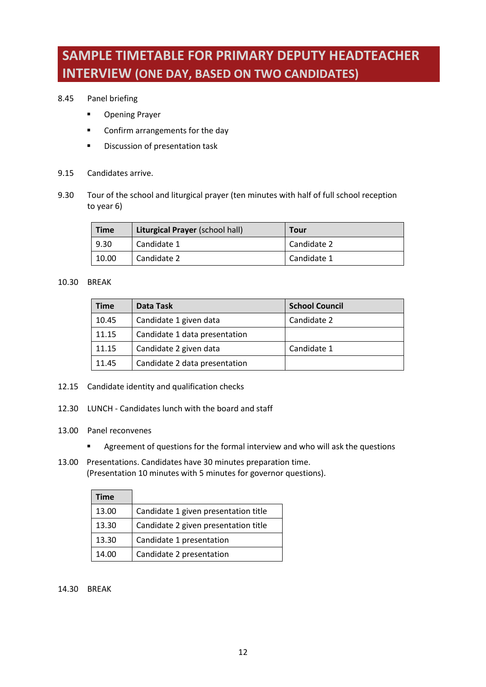## <span id="page-13-0"></span>**SAMPLE TIMETABLE FOR PRIMARY DEPUTY HEADTEACHER INTERVIEW (ONE DAY, BASED ON TWO CANDIDATES)**

#### 8.45 Panel briefing

- Opening Prayer
- Confirm arrangements for the day
- Discussion of presentation task
- 9.15 Candidates arrive.
- 9.30 Tour of the school and liturgical prayer (ten minutes with half of full school reception to year 6)

| <b>Time</b> | <b>Liturgical Prayer (school hall)</b> | <b>Tour</b> |
|-------------|----------------------------------------|-------------|
| 9.30        | Candidate 1                            | Candidate 2 |
| 10.00       | Candidate 2                            | Candidate 1 |

### 10.30 BREAK

| <b>Time</b> | Data Task                     | <b>School Council</b> |
|-------------|-------------------------------|-----------------------|
| 10.45       | Candidate 1 given data        | Candidate 2           |
| 11.15       | Candidate 1 data presentation |                       |
| 11.15       | Candidate 2 given data        | Candidate 1           |
| 11.45       | Candidate 2 data presentation |                       |

- 12.15 Candidate identity and qualification checks
- 12.30 LUNCH Candidates lunch with the board and staff
- 13.00 Panel reconvenes
	- **EXEDENT Agreement of questions for the formal interview and who will ask the questions**
- 13.00 Presentations. Candidates have 30 minutes preparation time. (Presentation 10 minutes with 5 minutes for governor questions).

| Time  |                                      |
|-------|--------------------------------------|
| 13.00 | Candidate 1 given presentation title |
| 13.30 | Candidate 2 given presentation title |
| 13.30 | Candidate 1 presentation             |
| 14.00 | Candidate 2 presentation             |

#### 14.30 BREAK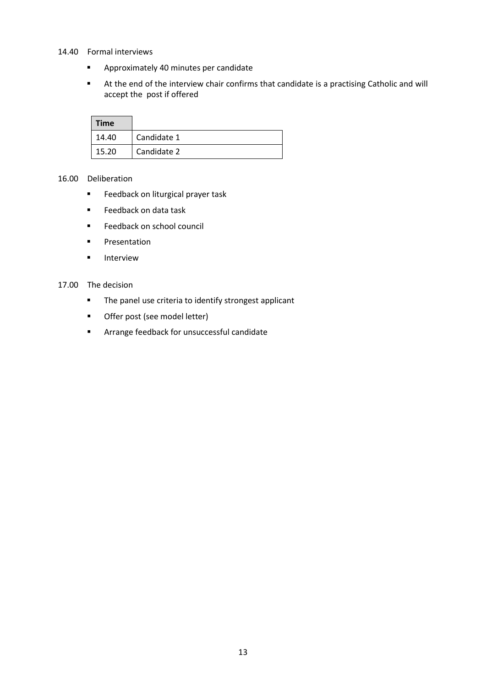#### 14.40 Formal interviews

- Approximately 40 minutes per candidate
- At the end of the interview chair confirms that candidate is a practising Catholic and will accept the post if offered

| <b>Time</b> |             |
|-------------|-------------|
| 14.40       | Candidate 1 |
| 15.20       | Candidate 2 |

#### 16.00 Deliberation

- Feedback on liturgical prayer task
- Feedback on data task
- Feedback on school council
- Presentation
- Interview

#### 17.00 The decision

- The panel use criteria to identify strongest applicant
- Offer post (see model letter)
- Arrange feedback for unsuccessful candidate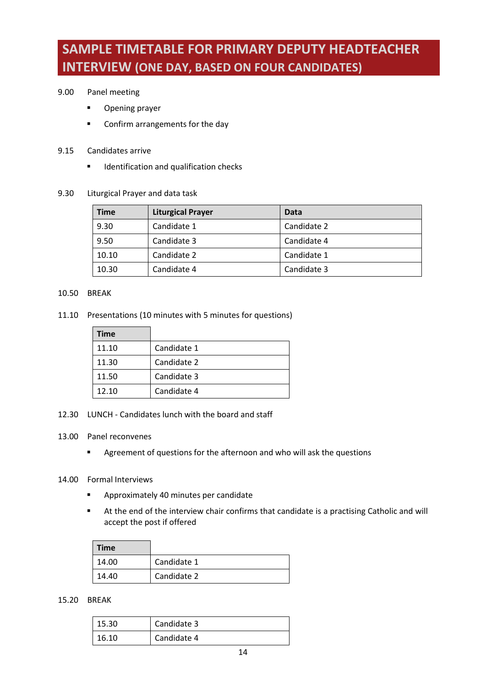## <span id="page-15-0"></span>**SAMPLE TIMETABLE FOR PRIMARY DEPUTY HEADTEACHER INTERVIEW (ONE DAY, BASED ON FOUR CANDIDATES)**

#### 9.00 Panel meeting

- Opening prayer
- Confirm arrangements for the day
- 9.15 Candidates arrive
	- Identification and qualification checks
- 9.30 Liturgical Prayer and data task

| <b>Time</b> | <b>Liturgical Prayer</b> | Data        |
|-------------|--------------------------|-------------|
| 9.30        | Candidate 1              | Candidate 2 |
| 9.50        | Candidate 3              | Candidate 4 |
| 10.10       | Candidate 2              | Candidate 1 |
| 10.30       | Candidate 4              | Candidate 3 |

#### 10.50 BREAK

11.10 Presentations (10 minutes with 5 minutes for questions)

| <b>Time</b> |             |
|-------------|-------------|
| 11.10       | Candidate 1 |
| 11.30       | Candidate 2 |
| 11.50       | Candidate 3 |
| 12.10       | Candidate 4 |

- 12.30 LUNCH Candidates lunch with the board and staff
- 13.00 Panel reconvenes
	- Agreement of questions for the afternoon and who will ask the questions
- 14.00 Formal Interviews
	- Approximately 40 minutes per candidate
	- At the end of the interview chair confirms that candidate is a practising Catholic and will accept the post if offered

| <b>Time</b> |             |
|-------------|-------------|
| 14.00       | Candidate 1 |
| 14.40       | Candidate 2 |

### 15.20 BREAK

| 15.30 | Candidate 3 |
|-------|-------------|
| 16.10 | Candidate 4 |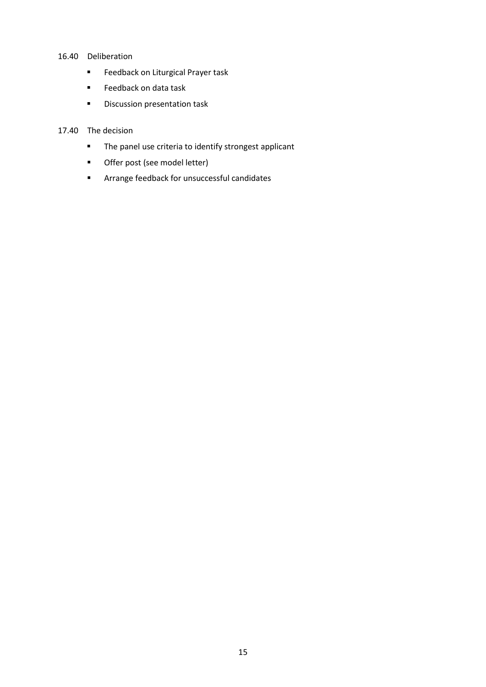#### 16.40 Deliberation

- Feedback on Liturgical Prayer task
- Feedback on data task
- Discussion presentation task

#### 17.40 The decision

- The panel use criteria to identify strongest applicant
- Offer post (see model letter)
- Arrange feedback for unsuccessful candidates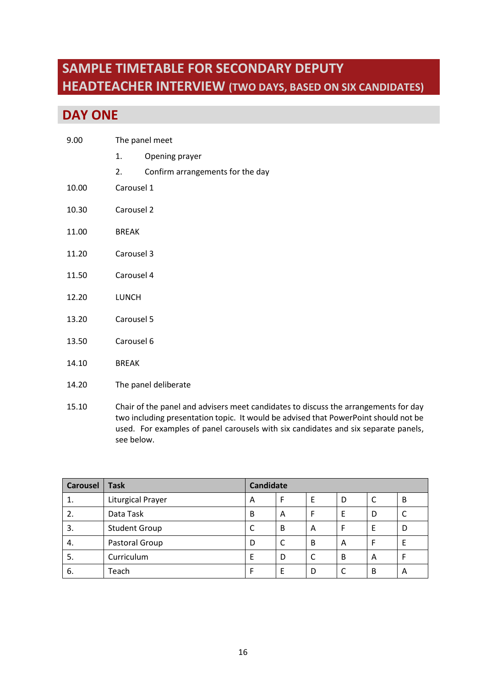## <span id="page-17-0"></span>**SAMPLE TIMETABLE FOR SECONDARY DEPUTY HEADTEACHER INTERVIEW (TWO DAYS, BASED ON SIX CANDIDATES)**

## **DAY ONE**

- 1. Opening prayer
- 2. Confirm arrangements for the day
- 10.00 Carousel 1
- 10.30 Carousel 2
- 11.00 BREAK
- 11.20 Carousel 3
- 11.50 Carousel 4
- 12.20 LUNCH
- 13.20 Carousel 5
- 13.50 Carousel 6
- 14.10 BREAK
- 14.20 The panel deliberate
- 15.10 Chair of the panel and advisers meet candidates to discuss the arrangements for day two including presentation topic. It would be advised that PowerPoint should not be used. For examples of panel carousels with six candidates and six separate panels, see below.

| <b>Carousel</b> | <b>Task</b>              | <b>Candidate</b> |   |   |   |   |   |
|-----------------|--------------------------|------------------|---|---|---|---|---|
| 1.              | <b>Liturgical Prayer</b> | A                | F | Е | D |   | B |
| 2.              | Data Task                | B                | A |   | E | D |   |
| 3.              | <b>Student Group</b>     | C                | B | А |   | E | D |
| 4.              | Pastoral Group           | D                |   | B | A | F | E |
| 5.              | Curriculum               | E                | D |   | B | A |   |
| -6.             | Teach                    | F                | E | D |   | B | A |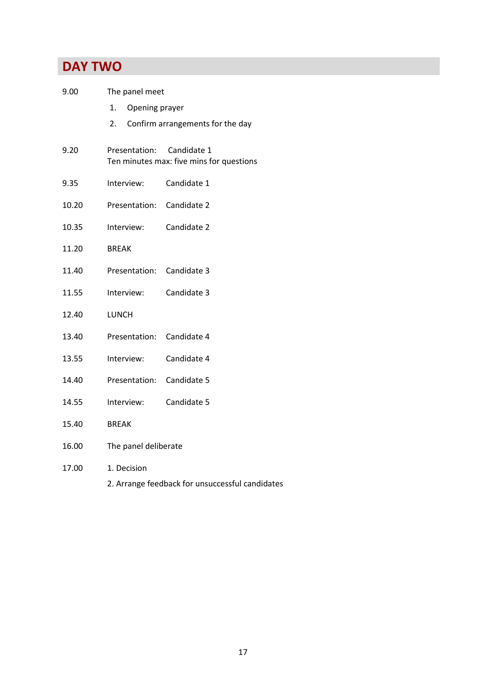## **DAY TWO**

| 9.00  | The panel meet                                  |                                                         |  |  |
|-------|-------------------------------------------------|---------------------------------------------------------|--|--|
|       | Opening prayer<br>1.                            |                                                         |  |  |
|       | 2.                                              | Confirm arrangements for the day                        |  |  |
| 9.20  | Presentation:                                   | Candidate 1<br>Ten minutes max: five mins for questions |  |  |
| 9.35  | Interview:                                      | Candidate 1                                             |  |  |
| 10.20 | Presentation: Candidate 2                       |                                                         |  |  |
| 10.35 | Interview:                                      | Candidate 2                                             |  |  |
| 11.20 | <b>BREAK</b>                                    |                                                         |  |  |
| 11.40 | Presentation:                                   | Candidate 3                                             |  |  |
| 11.55 | Interview:                                      | Candidate 3                                             |  |  |
| 12.40 | <b>LUNCH</b>                                    |                                                         |  |  |
| 13.40 | Presentation:                                   | Candidate 4                                             |  |  |
| 13.55 | Interview:                                      | Candidate 4                                             |  |  |
| 14.40 | Presentation:                                   | Candidate 5                                             |  |  |
| 14.55 | Interview:                                      | Candidate 5                                             |  |  |
| 15.40 | <b>BREAK</b>                                    |                                                         |  |  |
| 16.00 | The panel deliberate                            |                                                         |  |  |
| 17.00 | 1. Decision                                     |                                                         |  |  |
|       | 2. Arrange feedback for unsuccessful candidates |                                                         |  |  |